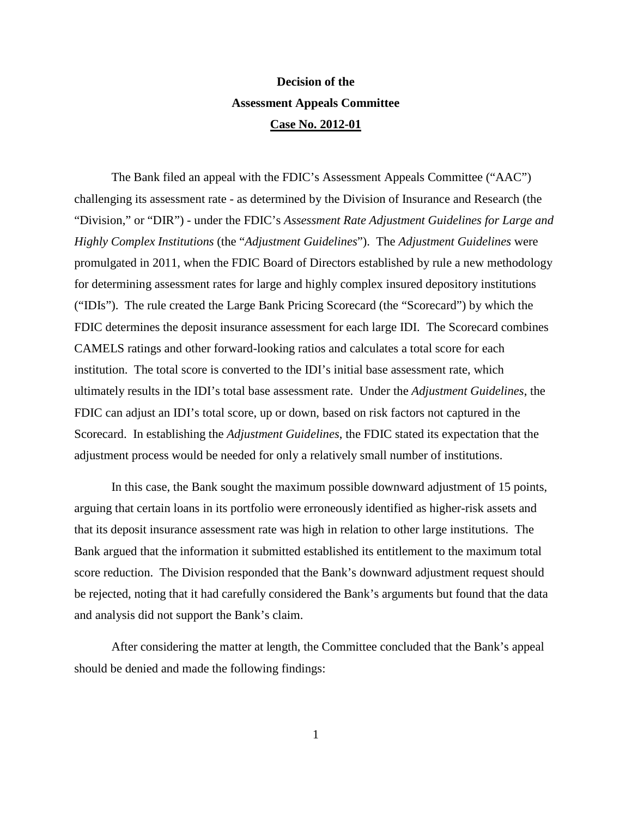## **Decision of the Assessment Appeals Committee Case No. 2012-01**

The Bank filed an appeal with the FDIC's Assessment Appeals Committee ("AAC") challenging its assessment rate - as determined by the Division of Insurance and Research (the "Division," or "DIR") - under the FDIC's *Assessment Rate Adjustment Guidelines for Large and Highly Complex Institutions* (the "*Adjustment Guidelines*"). The *Adjustment Guidelines* were promulgated in 2011, when the FDIC Board of Directors established by rule a new methodology for determining assessment rates for large and highly complex insured depository institutions ("IDIs"). The rule created the Large Bank Pricing Scorecard (the "Scorecard") by which the FDIC determines the deposit insurance assessment for each large IDI. The Scorecard combines CAMELS ratings and other forward-looking ratios and calculates a total score for each institution. The total score is converted to the IDI's initial base assessment rate, which ultimately results in the IDI's total base assessment rate. Under the *Adjustment Guidelines*, the FDIC can adjust an IDI's total score, up or down, based on risk factors not captured in the Scorecard. In establishing the *Adjustment Guidelines*, the FDIC stated its expectation that the adjustment process would be needed for only a relatively small number of institutions.

In this case, the Bank sought the maximum possible downward adjustment of 15 points, arguing that certain loans in its portfolio were erroneously identified as higher-risk assets and that its deposit insurance assessment rate was high in relation to other large institutions. The Bank argued that the information it submitted established its entitlement to the maximum total score reduction. The Division responded that the Bank's downward adjustment request should be rejected, noting that it had carefully considered the Bank's arguments but found that the data and analysis did not support the Bank's claim.

After considering the matter at length, the Committee concluded that the Bank's appeal should be denied and made the following findings: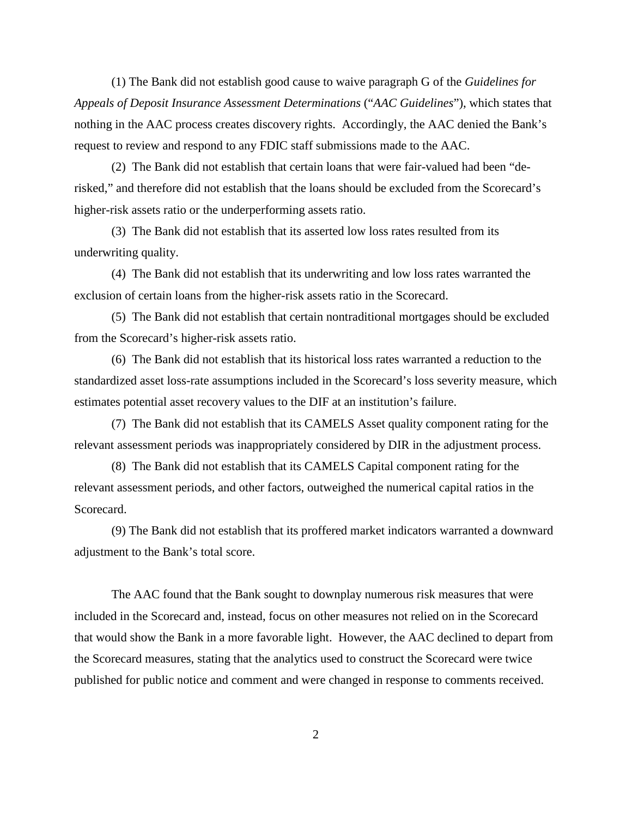(1) The Bank did not establish good cause to waive paragraph G of the *Guidelines for Appeals of Deposit Insurance Assessment Determinations* ("*AAC Guidelines*"), which states that nothing in the AAC process creates discovery rights. Accordingly, the AAC denied the Bank's request to review and respond to any FDIC staff submissions made to the AAC.

(2) The Bank did not establish that certain loans that were fair-valued had been "derisked," and therefore did not establish that the loans should be excluded from the Scorecard's higher-risk assets ratio or the underperforming assets ratio.

(3) The Bank did not establish that its asserted low loss rates resulted from its underwriting quality.

(4) The Bank did not establish that its underwriting and low loss rates warranted the exclusion of certain loans from the higher-risk assets ratio in the Scorecard.

(5) The Bank did not establish that certain nontraditional mortgages should be excluded from the Scorecard's higher-risk assets ratio.

(6) The Bank did not establish that its historical loss rates warranted a reduction to the standardized asset loss-rate assumptions included in the Scorecard's loss severity measure, which estimates potential asset recovery values to the DIF at an institution's failure.

(7) The Bank did not establish that its CAMELS Asset quality component rating for the relevant assessment periods was inappropriately considered by DIR in the adjustment process.

(8) The Bank did not establish that its CAMELS Capital component rating for the relevant assessment periods, and other factors, outweighed the numerical capital ratios in the Scorecard.

(9) The Bank did not establish that its proffered market indicators warranted a downward adjustment to the Bank's total score.

The AAC found that the Bank sought to downplay numerous risk measures that were included in the Scorecard and, instead, focus on other measures not relied on in the Scorecard that would show the Bank in a more favorable light. However, the AAC declined to depart from the Scorecard measures, stating that the analytics used to construct the Scorecard were twice published for public notice and comment and were changed in response to comments received.